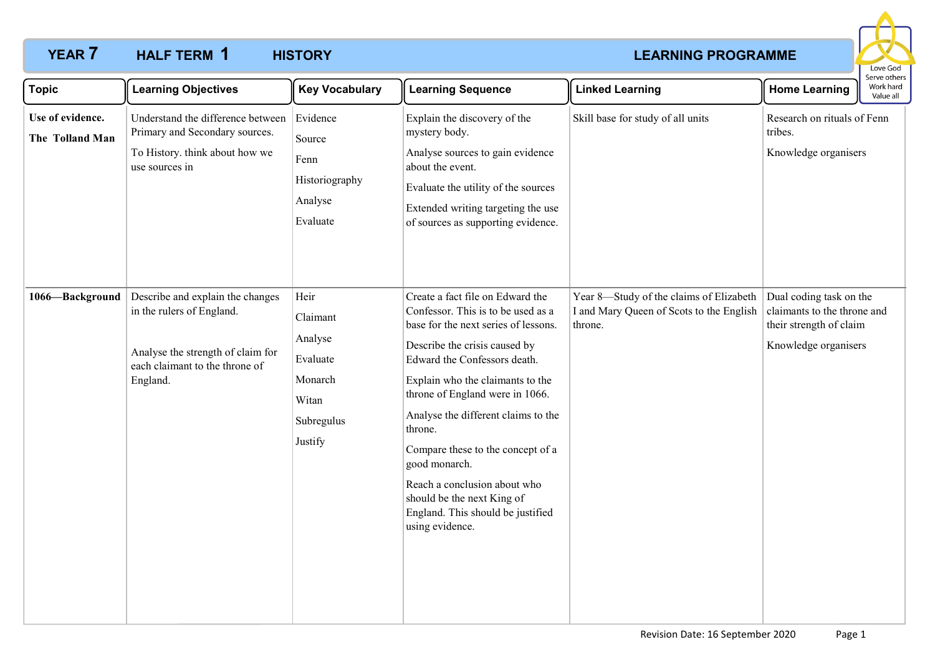## **YEAR 7 HALF TERM 1 HISTORY** *LEARNING PROGRAMME* **HALF TERM HISTORY 1**



| <b>Topic</b>                        | <b>Learning Objectives</b>                                                                                                                       | <b>Key Vocabulary</b>                                                                | <b>Learning Sequence</b>                                                                                                                                                                                                                                                                                                                                                                                                                                                             | <b>Linked Learning</b>                                                                         | <b>Home Learning</b>                                                                                      | Serve others<br>Work hard<br>Value all |
|-------------------------------------|--------------------------------------------------------------------------------------------------------------------------------------------------|--------------------------------------------------------------------------------------|--------------------------------------------------------------------------------------------------------------------------------------------------------------------------------------------------------------------------------------------------------------------------------------------------------------------------------------------------------------------------------------------------------------------------------------------------------------------------------------|------------------------------------------------------------------------------------------------|-----------------------------------------------------------------------------------------------------------|----------------------------------------|
| Use of evidence.<br>The Tolland Man | Understand the difference between<br>Primary and Secondary sources.<br>To History. think about how we<br>use sources in                          | Evidence<br>Source<br>Fenn<br>Historiography<br>Analyse<br>Evaluate                  | Explain the discovery of the<br>mystery body.<br>Analyse sources to gain evidence<br>about the event.<br>Evaluate the utility of the sources<br>Extended writing targeting the use<br>of sources as supporting evidence.                                                                                                                                                                                                                                                             | Skill base for study of all units                                                              | Research on rituals of Fenn<br>tribes.<br>Knowledge organisers                                            |                                        |
| 1066-Background                     | Describe and explain the changes<br>in the rulers of England.<br>Analyse the strength of claim for<br>each claimant to the throne of<br>England. | Heir<br>Claimant<br>Analyse<br>Evaluate<br>Monarch<br>Witan<br>Subregulus<br>Justify | Create a fact file on Edward the<br>Confessor. This is to be used as a<br>base for the next series of lessons.<br>Describe the crisis caused by<br>Edward the Confessors death.<br>Explain who the claimants to the<br>throne of England were in 1066.<br>Analyse the different claims to the<br>throne.<br>Compare these to the concept of a<br>good monarch.<br>Reach a conclusion about who<br>should be the next King of<br>England. This should be justified<br>using evidence. | Year 8-Study of the claims of Elizabeth<br>I and Mary Queen of Scots to the English<br>throne. | Dual coding task on the<br>claimants to the throne and<br>their strength of claim<br>Knowledge organisers |                                        |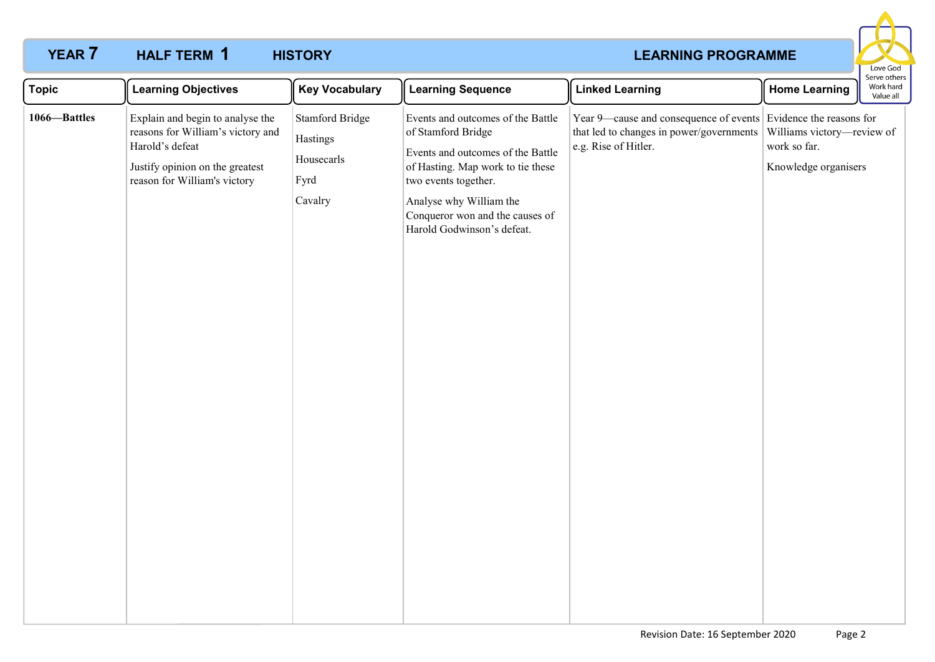## **YEAR 7 HALF TERM 1 HISTORY** *LEARNING PROGRAMME* **HALF TERM HISTORY 1**



| <b>Topic</b> | <b>Learning Objectives</b>                                                                                                                                  | <b>Key Vocabulary</b>                                               | <b>Learning Sequence</b>                                                                                                                                                                                                                              | <b>Linked Learning</b>                                                                                                              | <b>Home Learning</b>                                               | serve others<br>Work hard<br>Value all |
|--------------|-------------------------------------------------------------------------------------------------------------------------------------------------------------|---------------------------------------------------------------------|-------------------------------------------------------------------------------------------------------------------------------------------------------------------------------------------------------------------------------------------------------|-------------------------------------------------------------------------------------------------------------------------------------|--------------------------------------------------------------------|----------------------------------------|
| 1066-Battles | Explain and begin to analyse the<br>reasons for William's victory and<br>Harold's defeat<br>Justify opinion on the greatest<br>reason for William's victory | <b>Stamford Bridge</b><br>Hastings<br>Housecarls<br>Fyrd<br>Cavalry | Events and outcomes of the Battle<br>of Stamford Bridge<br>Events and outcomes of the Battle<br>of Hasting. Map work to tie these<br>two events together.<br>Analyse why William the<br>Conqueror won and the causes of<br>Harold Godwinson's defeat. | Year 9—cause and consequence of events Evidence the reasons for<br>that led to changes in power/governments<br>e.g. Rise of Hitler. | Williams victory-review of<br>work so far.<br>Knowledge organisers |                                        |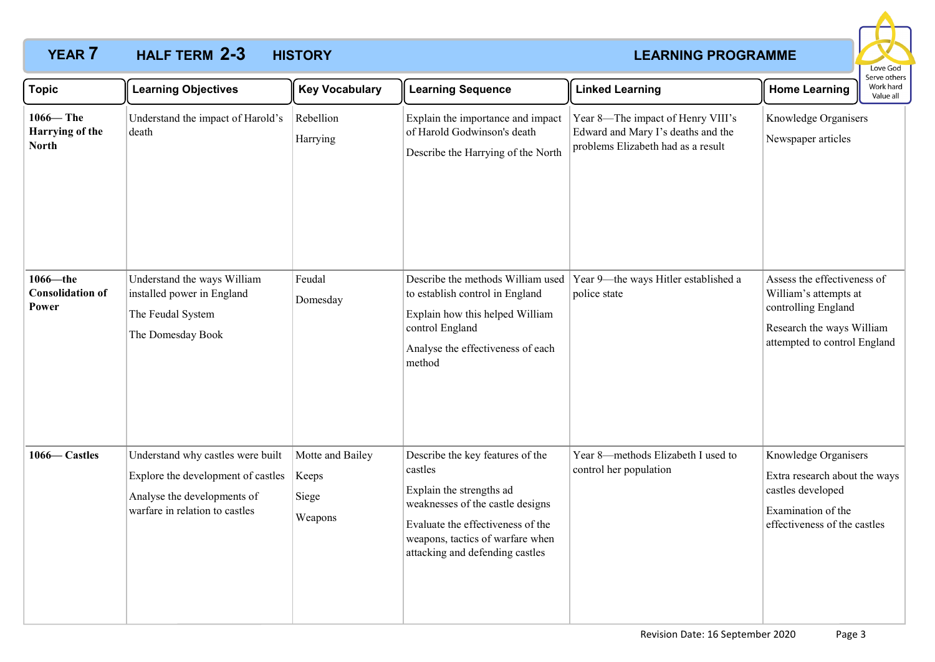# **YEAR 7 HALF TERM 2-3 HISTORY** *REARNING PROGRAMME* **HALF TERM HISTORY 2-3**



| <b>Topic</b>                                    | <b>Learning Objectives</b>                                                                                                               | <b>Key Vocabulary</b>                         | <b>Learning Sequence</b>                                                                                                                                                                                                | <b>Linked Learning</b>                                                                                        | <b>Home Learning</b>                                                                                                                     | serve others<br>Work hard<br>Value all |
|-------------------------------------------------|------------------------------------------------------------------------------------------------------------------------------------------|-----------------------------------------------|-------------------------------------------------------------------------------------------------------------------------------------------------------------------------------------------------------------------------|---------------------------------------------------------------------------------------------------------------|------------------------------------------------------------------------------------------------------------------------------------------|----------------------------------------|
| $1066 -$ The<br>Harrying of the<br><b>North</b> | Understand the impact of Harold's<br>death                                                                                               | Rebellion<br>Harrying                         | Explain the importance and impact<br>of Harold Godwinson's death<br>Describe the Harrying of the North                                                                                                                  | Year 8-The impact of Henry VIII's<br>Edward and Mary I's deaths and the<br>problems Elizabeth had as a result | Knowledge Organisers<br>Newspaper articles                                                                                               |                                        |
| 1066-the<br><b>Consolidation of</b><br>Power    | Understand the ways William<br>installed power in England<br>The Feudal System<br>The Domesday Book                                      | Feudal<br>Domesday                            | Describe the methods William used<br>to establish control in England<br>Explain how this helped William<br>control England<br>Analyse the effectiveness of each<br>method                                               | Year 9-the ways Hitler established a<br>police state                                                          | Assess the effectiveness of<br>William's attempts at<br>controlling England<br>Research the ways William<br>attempted to control England |                                        |
| 1066–Castles                                    | Understand why castles were built<br>Explore the development of castles<br>Analyse the developments of<br>warfare in relation to castles | Motte and Bailey<br>Keeps<br>Siege<br>Weapons | Describe the key features of the<br>castles<br>Explain the strengths ad<br>weaknesses of the castle designs<br>Evaluate the effectiveness of the<br>weapons, tactics of warfare when<br>attacking and defending castles | Year 8-methods Elizabeth I used to<br>control her population                                                  | Knowledge Organisers<br>Extra research about the ways<br>castles developed<br>Examination of the<br>effectiveness of the castles         |                                        |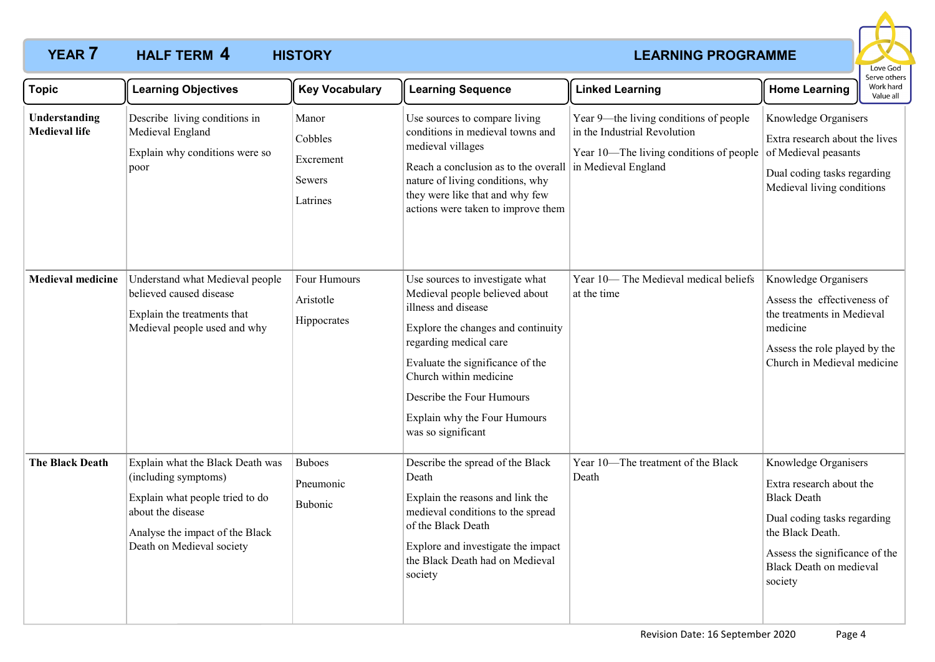## **YEAR 7 HALF TERM 4 HISTORY** *LEARNING PROGRAMME* **HALF TERM HISTORY 4**



| <b>Topic</b>                          | <b>Learning Objectives</b>                                                                                                                                                       | <b>Key Vocabulary</b>                               | <b>Learning Sequence</b>                                                                                                                                                                                                                                                                                  | <b>Linked Learning</b>                                                                                                                   | <b>Home Learning</b>                                                                                                                                                                                     | יכו יכ טנווכו.<br>Work hard<br>Value all |
|---------------------------------------|----------------------------------------------------------------------------------------------------------------------------------------------------------------------------------|-----------------------------------------------------|-----------------------------------------------------------------------------------------------------------------------------------------------------------------------------------------------------------------------------------------------------------------------------------------------------------|------------------------------------------------------------------------------------------------------------------------------------------|----------------------------------------------------------------------------------------------------------------------------------------------------------------------------------------------------------|------------------------------------------|
| Understanding<br><b>Medieval life</b> | Describe living conditions in<br>Medieval England<br>Explain why conditions were so<br>poor                                                                                      | Manor<br>Cobbles<br>Excrement<br>Sewers<br>Latrines | Use sources to compare living<br>conditions in medieval towns and<br>medieval villages<br>Reach a conclusion as to the overall<br>nature of living conditions, why<br>they were like that and why few<br>actions were taken to improve them                                                               | Year 9—the living conditions of people<br>in the Industrial Revolution<br>Year 10-The living conditions of people<br>in Medieval England | Knowledge Organisers<br>Extra research about the lives<br>of Medieval peasants<br>Dual coding tasks regarding<br>Medieval living conditions                                                              |                                          |
| <b>Medieval medicine</b>              | Understand what Medieval people<br>believed caused disease<br>Explain the treatments that<br>Medieval people used and why                                                        | Four Humours<br>Aristotle<br>Hippocrates            | Use sources to investigate what<br>Medieval people believed about<br>illness and disease<br>Explore the changes and continuity<br>regarding medical care<br>Evaluate the significance of the<br>Church within medicine<br>Describe the Four Humours<br>Explain why the Four Humours<br>was so significant | Year 10-The Medieval medical beliefs<br>at the time                                                                                      | Knowledge Organisers<br>Assess the effectiveness of<br>the treatments in Medieval<br>medicine<br>Assess the role played by the<br>Church in Medieval medicine                                            |                                          |
| <b>The Black Death</b>                | Explain what the Black Death was<br>(including symptoms)<br>Explain what people tried to do<br>about the disease<br>Analyse the impact of the Black<br>Death on Medieval society | <b>Buboes</b><br>Pneumonic<br><b>Bubonic</b>        | Describe the spread of the Black<br>Death<br>Explain the reasons and link the<br>medieval conditions to the spread<br>of the Black Death<br>Explore and investigate the impact<br>the Black Death had on Medieval<br>society                                                                              | Year 10-The treatment of the Black<br>Death                                                                                              | Knowledge Organisers<br>Extra research about the<br><b>Black Death</b><br>Dual coding tasks regarding<br>the Black Death.<br>Assess the significance of the<br><b>Black Death on medieval</b><br>society |                                          |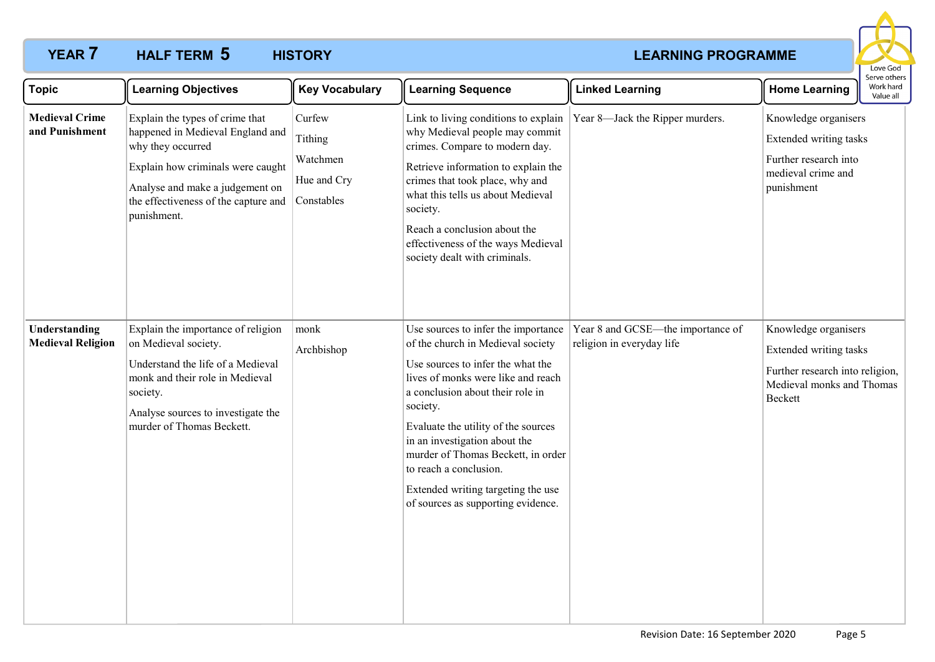## **YEAR 7 HALF TERM 5 HISTORY** *CONSTRUCTER AND EXAMPLE ARRIVE EXAMPLE ARRIVE EXAMPLE ARRIVER AND EXAMPLE ARRIVER* **HALF TERM HISTORY 5**



| <b>Topic</b>                              | <b>Learning Objectives</b>                                                                                                                                                                                              | <b>Key Vocabulary</b>                                      | <b>Learning Sequence</b>                                                                                                                                                                                                                                                                                                                                                                                                | <b>Linked Learning</b>                                         | <b>Home Learning</b>                                                                                                      | Work hard<br>Value all |  |
|-------------------------------------------|-------------------------------------------------------------------------------------------------------------------------------------------------------------------------------------------------------------------------|------------------------------------------------------------|-------------------------------------------------------------------------------------------------------------------------------------------------------------------------------------------------------------------------------------------------------------------------------------------------------------------------------------------------------------------------------------------------------------------------|----------------------------------------------------------------|---------------------------------------------------------------------------------------------------------------------------|------------------------|--|
| <b>Medieval Crime</b><br>and Punishment   | Explain the types of crime that<br>happened in Medieval England and<br>why they occurred<br>Explain how criminals were caught<br>Analyse and make a judgement on<br>the effectiveness of the capture and<br>punishment. | Curfew<br>Tithing<br>Watchmen<br>Hue and Cry<br>Constables | Link to living conditions to explain<br>why Medieval people may commit<br>crimes. Compare to modern day.<br>Retrieve information to explain the<br>crimes that took place, why and<br>what this tells us about Medieval<br>society.<br>Reach a conclusion about the<br>effectiveness of the ways Medieval<br>society dealt with criminals.                                                                              | Year 8-Jack the Ripper murders.                                | Knowledge organisers<br>Extended writing tasks<br>Further research into<br>medieval crime and<br>punishment               |                        |  |
| Understanding<br><b>Medieval Religion</b> | Explain the importance of religion<br>on Medieval society.<br>Understand the life of a Medieval<br>monk and their role in Medieval<br>society.<br>Analyse sources to investigate the<br>murder of Thomas Beckett.       | monk<br>Archbishop                                         | Use sources to infer the importance<br>of the church in Medieval society<br>Use sources to infer the what the<br>lives of monks were like and reach<br>a conclusion about their role in<br>society.<br>Evaluate the utility of the sources<br>in an investigation about the<br>murder of Thomas Beckett, in order<br>to reach a conclusion.<br>Extended writing targeting the use<br>of sources as supporting evidence. | Year 8 and GCSE-the importance of<br>religion in everyday life | Knowledge organisers<br>Extended writing tasks<br>Further research into religion,<br>Medieval monks and Thomas<br>Beckett |                        |  |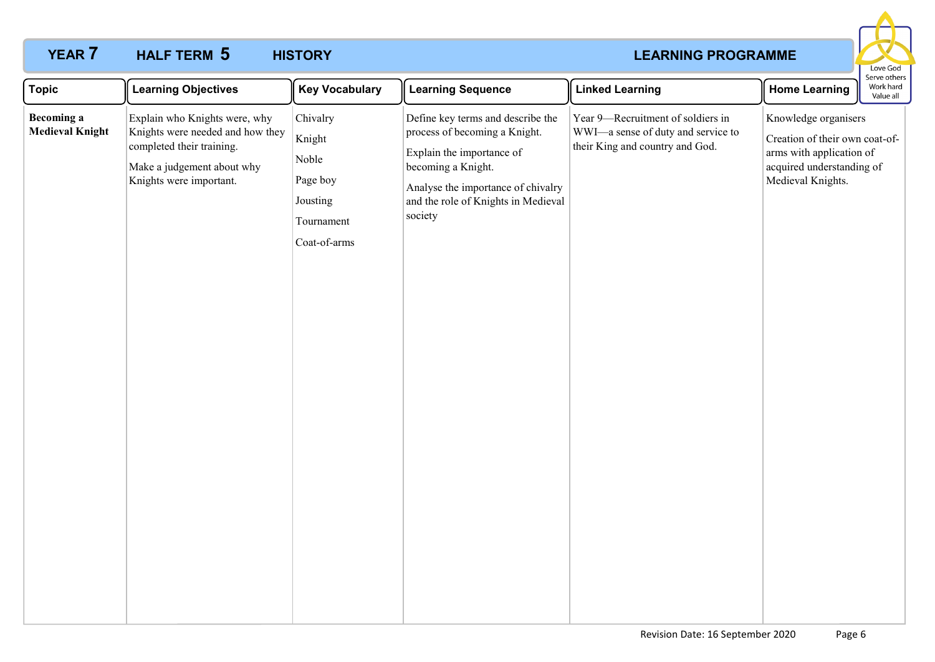## **YEAR 7 HALF TERM 5 HISTORY** *CONSTRUCTER AND EXAMPLE ARRIVE EXAMPLE ARRIVE EXAMPLE ARRIVER AND EXAMPLE ARRIVER* **HALF TERM HISTORY 5**



| <b>Topic</b>                                | <b>Learning Objectives</b>                                                                                                                              | <b>Key Vocabulary</b>                                                             | <b>Learning Sequence</b>                                                                                                                                                                                      | <b>Linked Learning</b>                                                                                     | Serve others<br>Work hard<br><b>Home Learning</b><br>Value all                                                                       |
|---------------------------------------------|---------------------------------------------------------------------------------------------------------------------------------------------------------|-----------------------------------------------------------------------------------|---------------------------------------------------------------------------------------------------------------------------------------------------------------------------------------------------------------|------------------------------------------------------------------------------------------------------------|--------------------------------------------------------------------------------------------------------------------------------------|
| <b>Becoming a</b><br><b>Medieval Knight</b> | Explain who Knights were, why<br>Knights were needed and how they<br>completed their training.<br>Make a judgement about why<br>Knights were important. | Chivalry<br>Knight<br>Noble<br>Page boy<br>Jousting<br>Tournament<br>Coat-of-arms | Define key terms and describe the<br>process of becoming a Knight.<br>Explain the importance of<br>becoming a Knight.<br>Analyse the importance of chivalry<br>and the role of Knights in Medieval<br>society | Year 9-Recruitment of soldiers in<br>WWI-a sense of duty and service to<br>their King and country and God. | Knowledge organisers<br>Creation of their own coat-of-<br>arms with application of<br>acquired understanding of<br>Medieval Knights. |